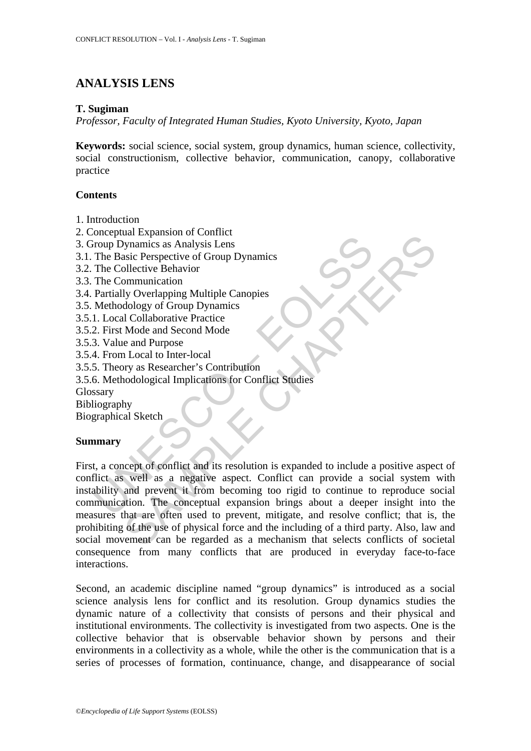# **ANALYSIS LENS**

### **T. Sugiman**

*Professor, Faculty of Integrated Human Studies, Kyoto University, Kyoto, Japan* 

**Keywords:** social science, social system, group dynamics, human science, collectivity, social constructionism, collective behavior, communication, canopy, collaborative practice

## **Contents**

- 1. Introduction
- 2. Conceptual Expansion of Conflict
- 3. Group Dynamics as Analysis Lens
- 3.1. The Basic Perspective of Group Dynamics
- 3.2. The Collective Behavior
- 3.3. The Communication
- 3.4. Partially Overlapping Multiple Canopies
- 3.5. Methodology of Group Dynamics
- 3.5.1. Local Collaborative Practice
- 3.5.2. First Mode and Second Mode
- 3.5.3. Value and Purpose
- 3.5.4. From Local to Inter-local
- 3.5.5. Theory as Researcher's Contribution
- 3.5.6. Methodological Implications for Conflict Studies

Glossary

Bibliography

Biographical Sketch

#### **Summary**

Conception Explained Tomagnet and States and Technical Conception<br>
The Basic Perspective of Group Dynamics<br>
The Collective Behavior<br>
The Collective Behavior<br>
The Communication<br>
Methodology of Group Dynamics<br>
1. Local Colla Explanation of Connection<br>
Synamics as Analysis Lens<br>
Since Perspective of Group Dynamics<br>
Dilective Behavior<br>
My Overlapping Multiple Canopies<br>
Mode and Second Mode<br>
and Dulaborative Practice<br>
e and Purpose<br>
and Dulaborat First, a concept of conflict and its resolution is expanded to include a positive aspect of conflict as well as a negative aspect. Conflict can provide a social system with instability and prevent it from becoming too rigid to continue to reproduce social communication. The conceptual expansion brings about a deeper insight into the measures that are often used to prevent, mitigate, and resolve conflict; that is, the prohibiting of the use of physical force and the including of a third party. Also, law and social movement can be regarded as a mechanism that selects conflicts of societal consequence from many conflicts that are produced in everyday face-to-face interactions.

Second, an academic discipline named "group dynamics" is introduced as a social science analysis lens for conflict and its resolution. Group dynamics studies the dynamic nature of a collectivity that consists of persons and their physical and institutional environments. The collectivity is investigated from two aspects. One is the collective behavior that is observable behavior shown by persons and their environments in a collectivity as a whole, while the other is the communication that is a series of processes of formation, continuance, change, and disappearance of social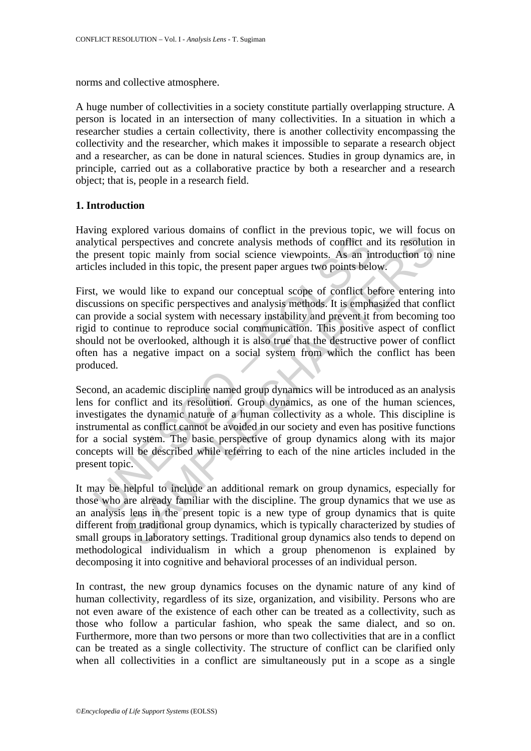norms and collective atmosphere.

A huge number of collectivities in a society constitute partially overlapping structure. A person is located in an intersection of many collectivities. In a situation in which a researcher studies a certain collectivity, there is another collectivity encompassing the collectivity and the researcher, which makes it impossible to separate a research object and a researcher, as can be done in natural sciences. Studies in group dynamics are, in principle, carried out as a collaborative practice by both a researcher and a research object; that is, people in a research field.

#### **1. Introduction**

Having explored various domains of conflict in the previous topic, we will focus on analytical perspectives and concrete analysis methods of conflict and its resolution in the present topic mainly from social science viewpoints. As an introduction to nine articles included in this topic, the present paper argues two points below.

First, we would like to expand our conceptual scope of conflict before entering into discussions on specific perspectives and analysis methods. It is emphasized that conflict can provide a social system with necessary instability and prevent it from becoming too rigid to continue to reproduce social communication. This positive aspect of conflict should not be overlooked, although it is also true that the destructive power of conflict often has a negative impact on a social system from which the conflict has been produced.

ytical perspectives and concrete analysis methods of conflict are<br>present topic mainly from social science viewpoints. As an in<br>les included in this topic, the present paper argues two points bele<br>t, we would like to expan perspectives and concrete analysis methods of conflict and its resolutio<br>topic mainly from social science viewpoints. As an introduction to<br>luded in this topic, the present paper argues two points below.<br>Would like to expa Second, an academic discipline named group dynamics will be introduced as an analysis lens for conflict and its resolution. Group dynamics, as one of the human sciences, investigates the dynamic nature of a human collectivity as a whole. This discipline is instrumental as conflict cannot be avoided in our society and even has positive functions for a social system. The basic perspective of group dynamics along with its major concepts will be described while referring to each of the nine articles included in the present topic.

It may be helpful to include an additional remark on group dynamics, especially for those who are already familiar with the discipline. The group dynamics that we use as an analysis lens in the present topic is a new type of group dynamics that is quite different from traditional group dynamics, which is typically characterized by studies of small groups in laboratory settings. Traditional group dynamics also tends to depend on methodological individualism in which a group phenomenon is explained by decomposing it into cognitive and behavioral processes of an individual person.

In contrast, the new group dynamics focuses on the dynamic nature of any kind of human collectivity, regardless of its size, organization, and visibility. Persons who are not even aware of the existence of each other can be treated as a collectivity, such as those who follow a particular fashion, who speak the same dialect, and so on. Furthermore, more than two persons or more than two collectivities that are in a conflict can be treated as a single collectivity. The structure of conflict can be clarified only when all collectivities in a conflict are simultaneously put in a scope as a single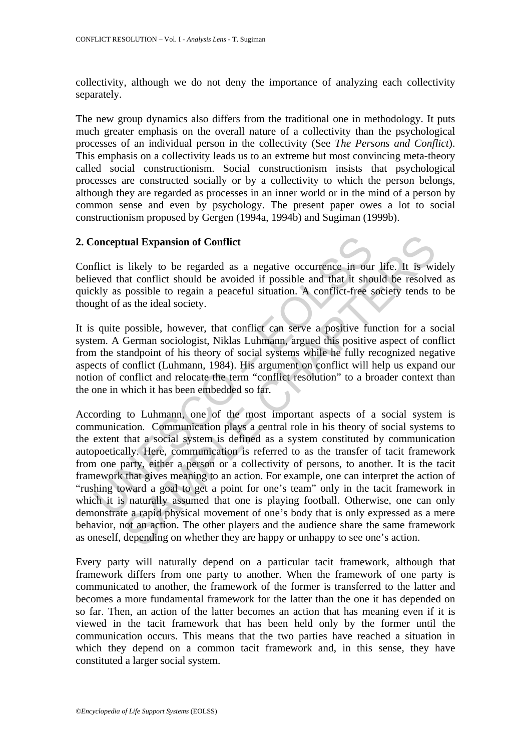collectivity, although we do not deny the importance of analyzing each collectivity separately.

The new group dynamics also differs from the traditional one in methodology. It puts much greater emphasis on the overall nature of a collectivity than the psychological processes of an individual person in the collectivity (See *The Persons and Conflict*). This emphasis on a collectivity leads us to an extreme but most convincing meta-theory called social constructionism. Social constructionism insists that psychological processes are constructed socially or by a collectivity to which the person belongs, although they are regarded as processes in an inner world or in the mind of a person by common sense and even by psychology. The present paper owes a lot to social constructionism proposed by Gergen (1994a, 1994b) and Sugiman (1999b).

#### **2. Conceptual Expansion of Conflict**

Conflict is likely to be regarded as a negative occurrence in our life. It is widely believed that conflict should be avoided if possible and that it should be resolved as quickly as possible to regain a peaceful situation. A conflict-free society tends to be thought of as the ideal society.

It is quite possible, however, that conflict can serve a positive function for a social system. A German sociologist, Niklas Luhmann, argued this positive aspect of conflict from the standpoint of his theory of social systems while he fully recognized negative aspects of conflict (Luhmann, 1984). His argument on conflict will help us expand our notion of conflict and relocate the term "conflict resolution" to a broader context than the one in which it has been embedded so far.

'onceptual Expansion of Conflict<br>
flict is likely to be regarded as a negative occurrence in our<br>
seved that conflict should be avoided if possible and that it show<br>
shows a possible to regain a peaceful situation. A conf **trail Expansion of Conflict**<br>
likely to be regarded as a negative occurrence in our life. It is will<br>
at conflict should be avoided if possible and that it should be resolve<br>
possible to regain a peaceful situation. A co According to Luhmann, one of the most important aspects of a social system is communication. Communication plays a central role in his theory of social systems to the extent that a social system is defined as a system constituted by communication autopoetically. Here, communication is referred to as the transfer of tacit framework from one party, either a person or a collectivity of persons, to another. It is the tacit framework that gives meaning to an action. For example, one can interpret the action of "rushing toward a goal to get a point for one's team" only in the tacit framework in which it is naturally assumed that one is playing football. Otherwise, one can only demonstrate a rapid physical movement of one's body that is only expressed as a mere behavior, not an action. The other players and the audience share the same framework as oneself, depending on whether they are happy or unhappy to see one's action.

Every party will naturally depend on a particular tacit framework, although that framework differs from one party to another. When the framework of one party is communicated to another, the framework of the former is transferred to the latter and becomes a more fundamental framework for the latter than the one it has depended on so far. Then, an action of the latter becomes an action that has meaning even if it is viewed in the tacit framework that has been held only by the former until the communication occurs. This means that the two parties have reached a situation in which they depend on a common tacit framework and, in this sense, they have constituted a larger social system.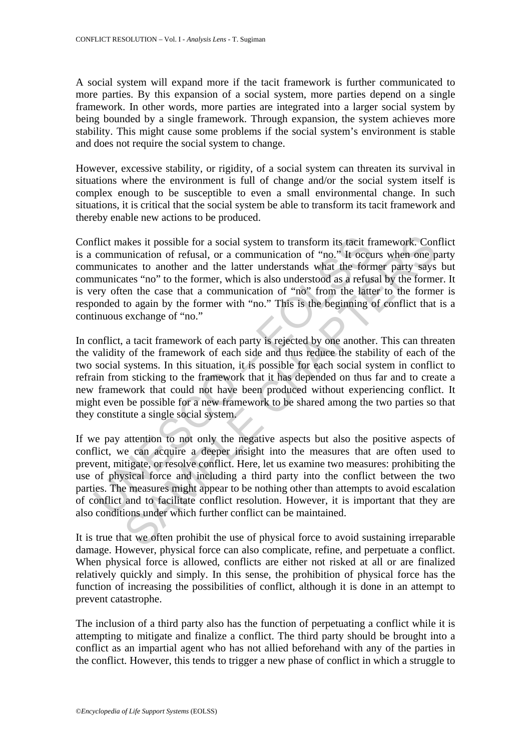A social system will expand more if the tacit framework is further communicated to more parties. By this expansion of a social system, more parties depend on a single framework. In other words, more parties are integrated into a larger social system by being bounded by a single framework. Through expansion, the system achieves more stability. This might cause some problems if the social system's environment is stable and does not require the social system to change.

However, excessive stability, or rigidity, of a social system can threaten its survival in situations where the environment is full of change and/or the social system itself is complex enough to be susceptible to even a small environmental change. In such situations, it is critical that the social system be able to transform its tacit framework and thereby enable new actions to be produced.

flict makes it possible for a social system to transform its tacit fr<br>communication of refusal, or a communication of "no." It occu<br>municates to another and the latter understands what the form<br>municates "no" to the former akes it possible for a social system to transform its tacit framework. Concidention of refusal, or a communication of "no." It occurs when one parts to another and the latter understands what the former party says thats "n Conflict makes it possible for a social system to transform its tacit framework. Conflict is a communication of refusal, or a communication of "no." It occurs when one party communicates to another and the latter understands what the former party says but communicates "no" to the former, which is also understood as a refusal by the former. It is very often the case that a communication of "no" from the latter to the former is responded to again by the former with "no." This is the beginning of conflict that is a continuous exchange of "no."

In conflict, a tacit framework of each party is rejected by one another. This can threaten the validity of the framework of each side and thus reduce the stability of each of the two social systems. In this situation, it is possible for each social system in conflict to refrain from sticking to the framework that it has depended on thus far and to create a new framework that could not have been produced without experiencing conflict. It might even be possible for a new framework to be shared among the two parties so that they constitute a single social system.

If we pay attention to not only the negative aspects but also the positive aspects of conflict, we can acquire a deeper insight into the measures that are often used to prevent, mitigate, or resolve conflict. Here, let us examine two measures: prohibiting the use of physical force and including a third party into the conflict between the two parties. The measures might appear to be nothing other than attempts to avoid escalation of conflict and to facilitate conflict resolution. However, it is important that they are also conditions under which further conflict can be maintained.

It is true that we often prohibit the use of physical force to avoid sustaining irreparable damage. However, physical force can also complicate, refine, and perpetuate a conflict. When physical force is allowed, conflicts are either not risked at all or are finalized relatively quickly and simply. In this sense, the prohibition of physical force has the function of increasing the possibilities of conflict, although it is done in an attempt to prevent catastrophe.

The inclusion of a third party also has the function of perpetuating a conflict while it is attempting to mitigate and finalize a conflict. The third party should be brought into a conflict as an impartial agent who has not allied beforehand with any of the parties in the conflict. However, this tends to trigger a new phase of conflict in which a struggle to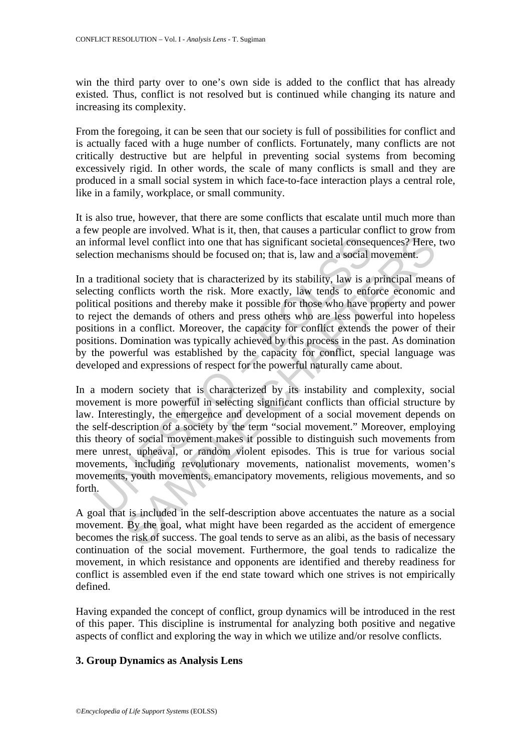win the third party over to one's own side is added to the conflict that has already existed. Thus, conflict is not resolved but is continued while changing its nature and increasing its complexity.

From the foregoing, it can be seen that our society is full of possibilities for conflict and is actually faced with a huge number of conflicts. Fortunately, many conflicts are not critically destructive but are helpful in preventing social systems from becoming excessively rigid. In other words, the scale of many conflicts is small and they are produced in a small social system in which face-to-face interaction plays a central role, like in a family, workplace, or small community.

It is also true, however, that there are some conflicts that escalate until much more than a few people are involved. What is it, then, that causes a particular conflict to grow from an informal level conflict into one that has significant societal consequences? Here, two selection mechanisms should be focused on; that is, law and a social movement.

In a traditional society that is characterized by its stability, law is a principal means of selecting conflicts worth the risk. More exactly, law tends to enforce economic and political positions and thereby make it possible for those who have property and power to reject the demands of others and press others who are less powerful into hopeless positions in a conflict. Moreover, the capacity for conflict extends the power of their positions. Domination was typically achieved by this process in the past. As domination by the powerful was established by the capacity for conflict, special language was developed and expressions of respect for the powerful naturally came about.

morthomal level conflict into one that has significant societal consection mechanisms should be focused on; that is, law and a social r traditional society that is characterized by its stability, law is a creding conflicts I level conflict into one that has significant societal consequences? Here, elechanisms should be focused on; that is, law and a social movement.<br>
onal society that is characterized by its stability, law is a principal mea In a modern society that is characterized by its instability and complexity, social movement is more powerful in selecting significant conflicts than official structure by law. Interestingly, the emergence and development of a social movement depends on the self-description of a society by the term "social movement." Moreover, employing this theory of social movement makes it possible to distinguish such movements from mere unrest, upheaval, or random violent episodes. This is true for various social movements, including revolutionary movements, nationalist movements, women's movements, youth movements, emancipatory movements, religious movements, and so forth.

A goal that is included in the self-description above accentuates the nature as a social movement. By the goal, what might have been regarded as the accident of emergence becomes the risk of success. The goal tends to serve as an alibi, as the basis of necessary continuation of the social movement. Furthermore, the goal tends to radicalize the movement, in which resistance and opponents are identified and thereby readiness for conflict is assembled even if the end state toward which one strives is not empirically defined.

Having expanded the concept of conflict, group dynamics will be introduced in the rest of this paper. This discipline is instrumental for analyzing both positive and negative aspects of conflict and exploring the way in which we utilize and/or resolve conflicts.

#### **3. Group Dynamics as Analysis Lens**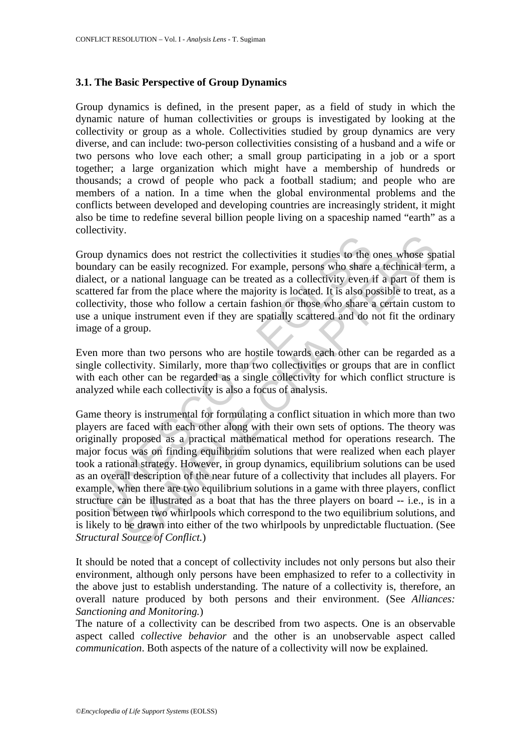#### **3.1. The Basic Perspective of Group Dynamics**

Group dynamics is defined, in the present paper, as a field of study in which the dynamic nature of human collectivities or groups is investigated by looking at the collectivity or group as a whole. Collectivities studied by group dynamics are very diverse, and can include: two-person collectivities consisting of a husband and a wife or two persons who love each other; a small group participating in a job or a sport together; a large organization which might have a membership of hundreds or thousands; a crowd of people who pack a football stadium; and people who are members of a nation. In a time when the global environmental problems and the conflicts between developed and developing countries are increasingly strident, it might also be time to redefine several billion people living on a spaceship named "earth" as a collectivity.

Group dynamics does not restrict the collectivities it studies to the ones whose spatial boundary can be easily recognized. For example, persons who share a technical term, a dialect, or a national language can be treated as a collectivity even if a part of them is scattered far from the place where the majority is located. It is also possible to treat, as a collectivity, those who follow a certain fashion or those who share a certain custom to use a unique instrument even if they are spatially scattered and do not fit the ordinary image of a group.

Even more than two persons who are hostile towards each other can be regarded as a single collectivity. Similarly, more than two collectivities or groups that are in conflict with each other can be regarded as a single collectivity for which conflict structure is analyzed while each collectivity is also a focus of analysis.

up dynamics does not restrict the collectivities it studies to the deady can be easily recognized. For example, persons who share east, or a national language can be treated as a collectivity even it etered far from the pl amics does not restrict the collectivities it studies to the ones whose span be easily recognized. For example, persons who share a technical ter a national language can be treated as a collectivity even if a part of the Game theory is instrumental for formulating a conflict situation in which more than two players are faced with each other along with their own sets of options. The theory was originally proposed as a practical mathematical method for operations research. The major focus was on finding equilibrium solutions that were realized when each player took a rational strategy. However, in group dynamics, equilibrium solutions can be used as an overall description of the near future of a collectivity that includes all players. For example, when there are two equilibrium solutions in a game with three players, conflict structure can be illustrated as a boat that has the three players on board -- i.e., is in a position between two whirlpools which correspond to the two equilibrium solutions, and is likely to be drawn into either of the two whirlpools by unpredictable fluctuation. (See *Structural Source of Conflict.*)

It should be noted that a concept of collectivity includes not only persons but also their environment, although only persons have been emphasized to refer to a collectivity in the above just to establish understanding. The nature of a collectivity is, therefore, an overall nature produced by both persons and their environment. (See *Alliances: Sanctioning and Monitoring.*)

The nature of a collectivity can be described from two aspects. One is an observable aspect called *collective behavior* and the other is an unobservable aspect called *communication*. Both aspects of the nature of a collectivity will now be explained.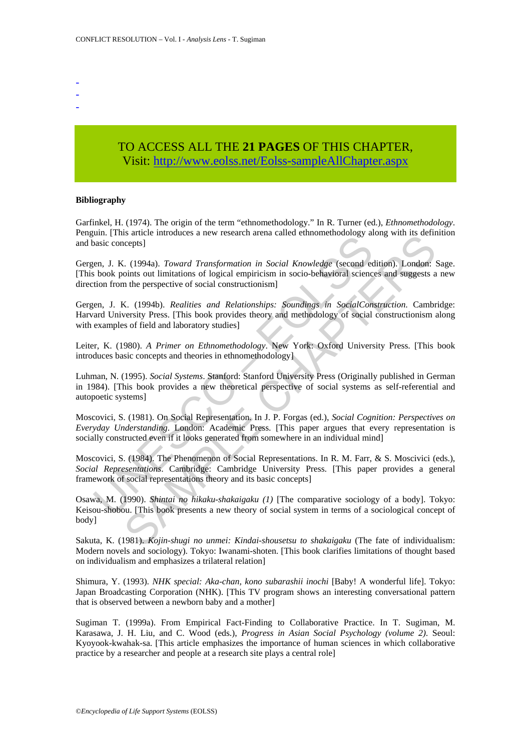- -
- -

## TO ACCESS ALL THE **21 PAGES** OF THIS CHAPTER, Visit: [http://www.eolss.net/Eolss-sampleAllChapter.aspx](https://www.eolss.net/ebooklib/sc_cart.aspx?File=E1-40-02)

#### **Bibliography**

Garfinkel, H. (1974). The origin of the term "ethnomethodology." In R. Turner (ed.), *Ethnomethodology*. Penguin. [This article introduces a new research arena called ethnomethodology along with its definition and basic concepts]

Gergen, J. K. (1994a). *Toward Transformation in Social Knowledge* (second edition). London: Sage. [This book points out limitations of logical empiricism in socio-behavioral sciences and suggests a new direction from the perspective of social constructionism]

Gergen, J. K. (1994b). *Realities and Relationships: Soundings in SocialConstruction*. Cambridge: Harvard University Press. [This book provides theory and methodology of social constructionism along with examples of field and laboratory studies]

Leiter, K. (1980). *A Primer on Ethnomethodology*. New York: Oxford University Press. [This book introduces basic concepts and theories in ethnomethodology]

man, I. K. (1994a). *Toward Transformation in Social Knowledge* (second econsists concepts)<br>
en, J. K. (1994a). *Toward Transformation in Social Knowledge* (second econsistion from the perspective of social constructionism Station (1994). Toward Transformation in Social Knowledge (second edition). London: Sciencests]<br>
C. (1994a). Toward Transformation in Social Knowledge (second edition). London: Coints out limitations of logical empiricism Luhman, N. (1995). *Social Systems*. Stanford: Stanford University Press (Originally published in German in 1984). [This book provides a new theoretical perspective of social systems as self-referential and autopoetic systems]

Moscovici, S. (1981). On Social Representation. In J. P. Forgas (ed.), *Social Cognition: Perspectives on Everyday Understanding*. London: Academic Press. [This paper argues that every representation is socially constructed even if it looks generated from somewhere in an individual mind]

Moscovici, S. (1984). The Phenomenon of Social Representations. In R. M. Farr, & S. Moscivici (eds.), *Social Representations*. Cambridge: Cambridge University Press. [This paper provides a general framework of social representations theory and its basic concepts]

Osawa, M. (1990). *Shintai no hikaku-shakaigaku (1)* [The comparative sociology of a body]. Tokyo: Keisou-shobou. [This book presents a new theory of social system in terms of a sociological concept of body]

Sakuta, K. (1981). *Kojin-shugi no unmei: Kindai-shousetsu to shakaigaku* (The fate of individualism: Modern novels and sociology). Tokyo: Iwanami-shoten. [This book clarifies limitations of thought based on individualism and emphasizes a trilateral relation]

Shimura, Y. (1993). *NHK special: Aka-chan, kono subarashii inochi* [Baby! A wonderful life]. Tokyo: Japan Broadcasting Corporation (NHK). [This TV program shows an interesting conversational pattern that is observed between a newborn baby and a mother]

Sugiman T. (1999a). From Empirical Fact-Finding to Collaborative Practice. In T. Sugiman, M. Karasawa, J. H. Liu, and C. Wood (eds.), *Progress in Asian Social Psychology (volume 2)*. Seoul: Kyoyook-kwahak-sa. [This article emphasizes the importance of human sciences in which collaborative practice by a researcher and people at a research site plays a central role]